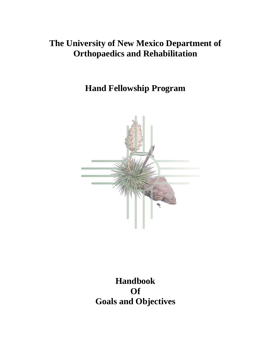# **The University of New Mexico Department of Orthopaedics and Rehabilitation**

**Hand Fellowship Program**



**Handbook Of Goals and Objectives**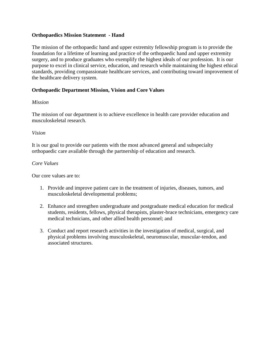## **Orthopaedics Mission Statement - Hand**

The mission of the orthopaedic hand and upper extremity fellowship program is to provide the foundation for a lifetime of learning and practice of the orthopaedic hand and upper extremity surgery, and to produce graduates who exemplify the highest ideals of our profession. It is our purpose to excel in clinical service, education, and research while maintaining the highest ethical standards, providing compassionate healthcare services, and contributing toward improvement of the healthcare delivery system.

## **Orthopaedic Department Mission, Vision and Core Values**

## *Mission*

The mission of our department is to achieve excellence in health care provider education and musculoskeletal research.

## *Vision*

It is our goal to provide our patients with the most advanced general and subspecialty orthopaedic care available through the partnership of education and research.

## *Core Values*

Our core values are to:

- 1. Provide and improve patient care in the treatment of injuries, diseases, tumors, and musculoskeletal developmental problems;
- 2. Enhance and strengthen undergraduate and postgraduate medical education for medical students, residents, fellows, physical therapists, plaster-brace technicians, emergency care medical technicians, and other allied health personnel; and
- 3. Conduct and report research activities in the investigation of medical, surgical, and physical problems involving musculoskeletal, neuromuscular, muscular-tendon, and associated structures.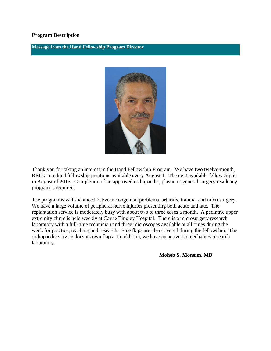#### **Program Description**

**Message from the Hand Fellowship Program Director**



Thank you for taking an interest in the Hand Fellowship Program. We have two twelve-month, RRC-accredited fellowship positions available every August 1. The next available fellowship is in August of 2015. Completion of an approved orthopaedic, plastic or general surgery residency program is required.

The program is well-balanced between congenital problems, arthritis, trauma, and microsurgery. We have a large volume of peripheral nerve injuries presenting both acute and late. The replantation service is moderately busy with about two to three cases a month. A pediatric upper extremity clinic is held weekly at Carrie Tingley Hospital. There is a microsurgery research laboratory with a full-time technician and three microscopes available at all times during the week for practice, teaching and research. Free flaps are also covered during the fellowship. The orthopaedic service does its own flaps. In addition, we have an active biomechanics research laboratory.

**Moheb S. Moneim, MD**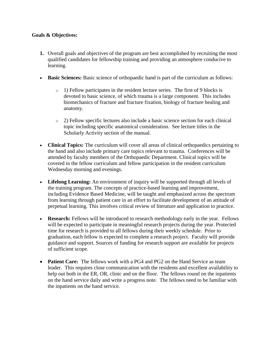## **Goals & Objectives:**

- **1.** Overall goals and objectives of the program are best accomplished by recruiting the most qualified candidates for fellowship training and providing an atmosphere conducive to learning.
- **Basic Sciences:** Basic science of orthopaedic hand is part of the curriculum as follows:
	- o 1) Fellow participates in the resident lecture series. The first of 9 blocks is devoted to basic science, of which trauma is a large component. This includes biomechanics of fracture and fracture fixation, biology of fracture healing and anatomy.
	- $\circ$  2) Fellow specific lectures also include a basic science section for each clinical topic including specific anatomical consideration. See lecture titles in the Scholarly Activity section of the manual.
- **Clinical Topics:** The curriculum will cover all areas of clinical orthopaedics pertaining to the hand and also include primary care topics relevant to trauma. Conferences will be attended by faculty members of the Orthopaedic Department. Clinical topics will be covered in the fellow curriculum and fellow participation in the resident curriculum Wednesday morning and evenings.
- **Lifelong Learning:** An environment of inquiry will be supported through all levels of the training program. The concepts of practice-based learning and improvement, including Evidence Based Medicine, will be taught and emphasized across the spectrum from learning through patient care in an effort to facilitate development of an attitude of perpetual learning. This involves critical review of literature and application to practice.
- **Research:** Fellows will be introduced to research methodology early in the year. Fellows will be expected to participate in meaningful research projects during the year. Protected time for research is provided to all fellows during their weekly schedule. Prior to graduation, each fellow is expected to complete a research project. Faculty will provide guidance and support. Sources of funding for research support are available for projects of sufficient scope.
- **Patient Care:** The fellows work with a PG4 and PG2 on the Hand Service as team leader. This requires close communication with the residents and excellent availability to help out both in the ER, OR, clinic and on the floor. The fellows round on the inpatients on the hand service daily and write a progress note. The fellows need to be familiar with the inpatients on the hand service.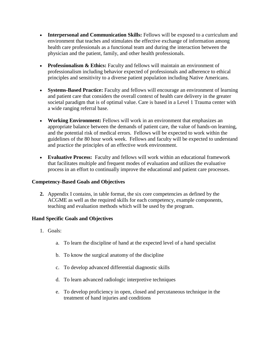- **Interpersonal and Communication Skills:** Fellows will be exposed to a curriculum and environment that teaches and stimulates the effective exchange of information among health care professionals as a functional team and during the interaction between the physician and the patient, family, and other health professionals.
- **Professionalism & Ethics:** Faculty and fellows will maintain an environment of professionalism including behavior expected of professionals and adherence to ethical principles and sensitivity to a diverse patient population including Native Americans.
- **Systems-Based Practice:** Faculty and fellows will encourage an environment of learning and patient care that considers the overall context of health care delivery in the greater societal paradigm that is of optimal value. Care is based in a Level 1 Trauma center with a wide ranging referral base.
- **Working Environment:** Fellows will work in an environment that emphasizes an appropriate balance between the demands of patient care, the value of hands-on learning, and the potential risk of medical errors. Fellows will be expected to work within the guidelines of the 80 hour work week. Fellows and faculty will be expected to understand and practice the principles of an effective work environment.
- **Evaluative Process:** Faculty and fellows will work within an educational framework that facilitates multiple and frequent modes of evaluation and utilizes the evaluative process in an effort to continually improve the educational and patient care processes.

## **Competency-Based Goals and Objectives**

**2.** Appendix I contains, in table format, the six core competencies as defined by the ACGME as well as the required skills for each competency, example components, teaching and evaluation methods which will be used by the program.

## **Hand Specific Goals and Objectives**

- 1. Goals:
	- a. To learn the discipline of hand at the expected level of a hand specialist
	- b. To know the surgical anatomy of the discipline
	- c. To develop advanced differential diagnostic skills
	- d. To learn advanced radiologic interpretive techniques
	- e. To develop proficiency in open, closed and percutaneous technique in the treatment of hand injuries and conditions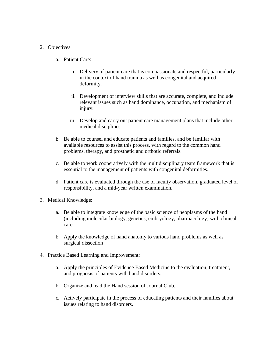#### 2. Objectives

- a. Patient Care:
	- i. Delivery of patient care that is compassionate and respectful, particularly in the context of hand trauma as well as congenital and acquired deformity.
	- ii. Development of interview skills that are accurate, complete, and include relevant issues such as hand dominance, occupation, and mechanism of injury.
	- iii. Develop and carry out patient care management plans that include other medical disciplines.
- b. Be able to counsel and educate patients and families, and be familiar with available resources to assist this process, with regard to the common hand problems, therapy, and prosthetic and orthotic referrals.
- c. Be able to work cooperatively with the multidisciplinary team framework that is essential to the management of patients with congenital deformities.
- d. Patient care is evaluated through the use of faculty observation, graduated level of responsibility, and a mid-year written examination.
- 3. Medical Knowledge:
	- a. Be able to integrate knowledge of the basic science of neoplasms of the hand (including molecular biology, genetics, embryology, pharmacology) with clinical care.
	- b. Apply the knowledge of hand anatomy to various hand problems as well as surgical dissection
- 4. Practice Based Learning and Improvement:
	- a. Apply the principles of Evidence Based Medicine to the evaluation, treatment, and prognosis of patients with hand disorders.
	- b. Organize and lead the Hand session of Journal Club.
	- c. Actively participate in the process of educating patients and their families about issues relating to hand disorders.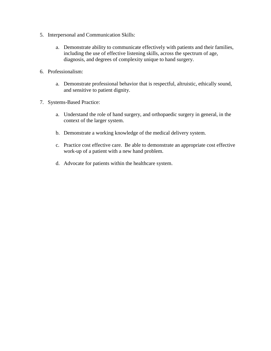- 5. Interpersonal and Communication Skills:
	- a. Demonstrate ability to communicate effectively with patients and their families, including the use of effective listening skills, across the spectrum of age, diagnosis, and degrees of complexity unique to hand surgery.
- 6. Professionalism:
	- a. Demonstrate professional behavior that is respectful, altruistic, ethically sound, and sensitive to patient dignity.
- 7. Systems-Based Practice:
	- a. Understand the role of hand surgery, and orthopaedic surgery in general, in the context of the larger system.
	- b. Demonstrate a working knowledge of the medical delivery system.
	- c. Practice cost effective care. Be able to demonstrate an appropriate cost effective work-up of a patient with a new hand problem.
	- d. Advocate for patients within the healthcare system.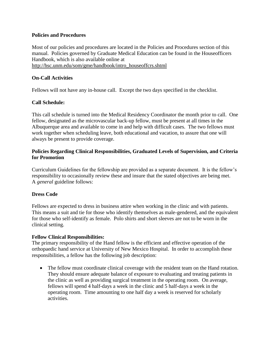## **Policies and Procedures**

Most of our policies and procedures are located in the Policies and Procedures section of this manual. Policies governed by Graduate Medical Education can be found in the Houseofficers Handbook, which is also available online at [http://hsc.unm.edu/som/gme/handbook/intro\\_houseoffcrs.shtml](http://hsc.unm.edu/som/gme/handbook/intro_houseoffcrs.shtml)

## **On-Call Activities**

Fellows will not have any in-house call. Except the two days specified in the checklist.

## **Call Schedule:**

This call schedule is turned into the Medical Residency Coordinator the month prior to call. One fellow, designated as the microvascular back-up fellow, must be present at all times in the Albuquerque area and available to come in and help with difficult cases. The two fellows must work together when scheduling leave, both educational and vacation, to assure that one will always be present to provide coverage.

## **Policies Regarding Clinical Responsibilities, Graduated Levels of Supervision, and Criteria for Promotion**

Curriculum Guidelines for the fellowship are provided as a separate document. It is the fellow's responsibility to occasionally review these and insure that the stated objectives are being met. A *general* guideline follows:

## **Dress Code**

Fellows are expected to dress in business attire when working in the clinic and with patients. This means a suit and tie for those who identify themselves as male-gendered, and the equivalent for those who self-identify as female. Polo shirts and short sleeves are not to be worn in the clinical setting.

## **Fellow Clinical Responsibilities:**

The primary responsibility of the Hand fellow is the efficient and effective operation of the orthopaedic hand service at University of New Mexico Hospital. In order to accomplish these responsibilities, a fellow has the following job description:

• The fellow must coordinate clinical coverage with the resident team on the Hand rotation. They should ensure adequate balance of exposure to evaluating and treating patients in the clinic as well as providing surgical treatment in the operating room. On average, fellows will spend 4 half-days a week in the clinic and 5 half-days a week in the operating room. Time amounting to one half day a week is reserved for scholarly activities.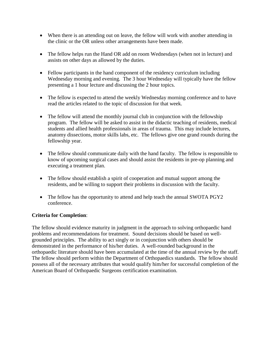- When there is an attending out on leave, the fellow will work with another attending in the clinic or the OR unless other arrangements have been made.
- The fellow helps run the Hand OR add on room Wednesdays (when not in lecture) and assists on other days as allowed by the duties.
- Fellow participants in the hand component of the residency curriculum including Wednesday morning and evening. The 3 hour Wednesday will typically have the fellow presenting a 1 hour lecture and discussing the 2 hour topics.
- The fellow is expected to attend the weekly Wednesday morning conference and to have read the articles related to the topic of discussion for that week.
- The fellow will attend the monthly journal club in conjunction with the fellowship program. The fellow will be asked to assist in the didactic teaching of residents, medical students and allied health professionals in areas of trauma. This may include lectures, anatomy dissections, motor skills labs, etc. The fellows give one grand rounds during the fellowship year.
- The fellow should communicate daily with the hand faculty. The fellow is responsible to know of upcoming surgical cases and should assist the residents in pre-op planning and executing a treatment plan.
- The fellow should establish a spirit of cooperation and mutual support among the residents, and be willing to support their problems in discussion with the faculty.
- The fellow has the opportunity to attend and help teach the annual SWOTA PGY2 conference.

## **Criteria for Completion**:

The fellow should evidence maturity in judgment in the approach to solving orthopaedic hand problems and recommendations for treatment. Sound decisions should be based on wellgrounded principles. The ability to act singly or in conjunction with others should be demonstrated in the performance of his/her duties. A well-rounded background in the orthopaedic literature should have been accumulated at the time of the annual review by the staff. The fellow should perform within the Department of Orthopaedics standards. The fellow should possess all of the necessary attributes that would qualify him/her for successful completion of the American Board of Orthopaedic Surgeons certification examination.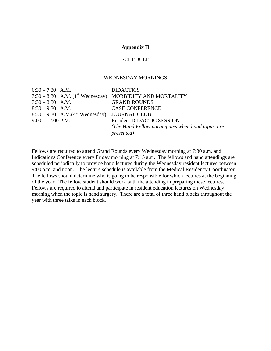#### **Appendix II**

#### **SCHEDULE**

#### WEDNESDAY MORNINGS

| $6:30 - 7:30$ A.M.  |                                                   | <b>DIDACTICS</b>                                                     |
|---------------------|---------------------------------------------------|----------------------------------------------------------------------|
|                     |                                                   | $7:30-8:30$ A.M. (1 <sup>st</sup> Wednesday) MORBIDITY AND MORTALITY |
| $7:30 - 8:30$ A.M.  |                                                   | <b>GRAND ROUNDS</b>                                                  |
| $8:30 - 9:30$ A.M.  |                                                   | <b>CASE CONFERENCE</b>                                               |
|                     | $8:30 - 9:30$ A.M. $(4th$ Wednesday) JOURNAL CLUB |                                                                      |
| $9:00 - 12:00$ P.M. |                                                   | <b>Resident DIDACTIC SESSION</b>                                     |
|                     |                                                   | (The Hand Fellow participates when hand topics are                   |
|                     |                                                   | <i>presented</i> )                                                   |

Fellows are required to attend Grand Rounds every Wednesday morning at 7:30 a.m. and Indications Conference every Friday morning at 7:15 a.m. The fellows and hand attendings are scheduled periodically to provide hand lectures during the Wednesday resident lectures between 9:00 a.m. and noon. The lecture schedule is available from the Medical Residency Coordinator. The fellows should determine who is going to be responsible for which lectures at the beginning of the year. The fellow student should work with the attending in preparing these lectures. Fellows are required to attend and participate in resident education lectures on Wednesday morning when the topic is hand surgery. There are a total of three hand blocks throughout the year with three talks in each block.